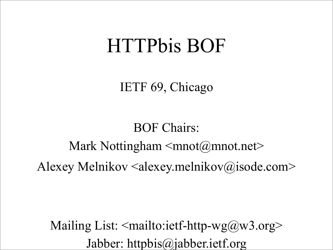#### HTTPbis BOF

IETF 69, Chicago

#### BOF Chairs: Mark Nottingham  $\leq mnot(\omega)$ mnot.net $\geq$ Alexey Melnikov  $\leq$ alexey.melnikov $\omega$ isode.com>

Mailing List:  $\leq$ mailto:ietf-http-wg@w3.org> Jabber: httpbis@jabber.ietf.org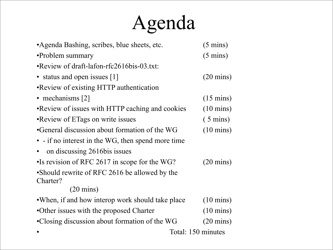# Agenda

| • Agenda Bashing, scribes, blue sheets, etc.              | $(5 \text{ mins})$  |  |
|-----------------------------------------------------------|---------------------|--|
| •Problem summary                                          | $(5 \text{ mins})$  |  |
| • Review of draft-lafon-rfc2616bis-03.txt:                |                     |  |
| • status and open issues [1]                              | $(20 \text{ mins})$ |  |
| •Review of existing HTTP authentication                   |                     |  |
| • mechanisms $[2]$                                        | $(15 \text{ mins})$ |  |
| • Review of issues with HTTP caching and cookies          | $(10 \text{ mins})$ |  |
| •Review of ETags on write issues                          | $(5 \text{ mins})$  |  |
| •General discussion about formation of the WG             | $(10 \text{ mins})$ |  |
| • - if no interest in the WG, then spend more time        |                     |  |
| on discussing 2616bis issues                              |                     |  |
| •Is revision of RFC 2617 in scope for the WG?             | $(20 \text{ mins})$ |  |
| •Should rewrite of RFC 2616 be allowed by the<br>Charter? |                     |  |
| $(20 \text{ mins})$                                       |                     |  |
| • When, if and how interop work should take place         | $(10 \text{ mins})$ |  |
| •Other issues with the proposed Charter                   | $(10 \text{ mins})$ |  |
| •Closing discussion about formation of the WG             | $(20 \text{ mins})$ |  |
|                                                           | Total: 150 minutes  |  |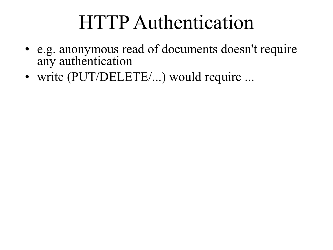#### HTTP Authentication

- e.g. anonymous read of documents doesn't require any authentication
- write (PUT/DELETE/...) would require ...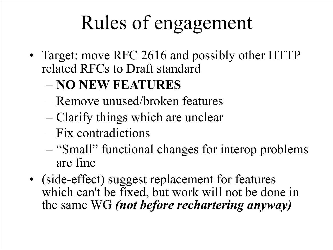# Rules of engagement

- Target: move RFC 2616 and possibly other HTTP related RFCs to Draft standard
	- **NO NEW FEATURES**
	- Remove unused/broken features
	- Clarify things which are unclear
	- Fix contradictions
	- "Small" functional changes for interop problems are fine
- (side-effect) suggest replacement for features which can't be fixed, but work will not be done in the same WG *(not before rechartering anyway)*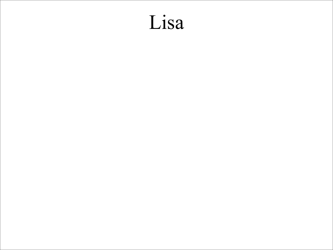#### Lisa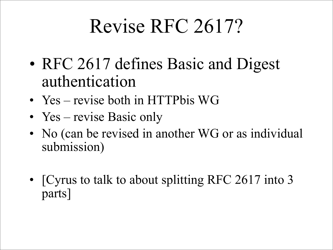## Revise RFC 2617?

- RFC 2617 defines Basic and Digest authentication
- Yes revise both in HTTPbis WG
- Yes revise Basic only
- No (can be revised in another WG or as individual submission)
- [Cyrus to talk to about splitting RFC 2617 into 3 parts]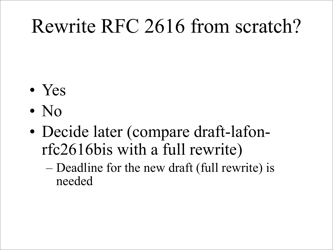## Rewrite RFC 2616 from scratch?

- Yes
- No
- Decide later (compare draft-lafonrfc2616bis with a full rewrite)
	- Deadline for the new draft (full rewrite) is needed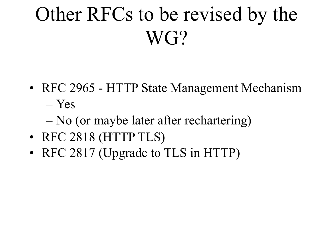# Other RFCs to be revised by the WG?

- RFC 2965 HTTP State Management Mechanism – Yes
	- No (or maybe later after rechartering)
- RFC 2818 (HTTP TLS)
- RFC 2817 (Upgrade to TLS in HTTP)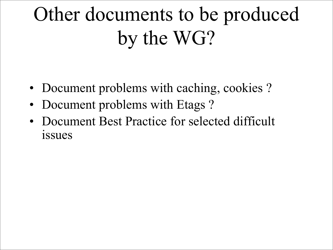# Other documents to be produced by the WG?

- Document problems with caching, cookies ?
- Document problems with Etags?
- Document Best Practice for selected difficult issues